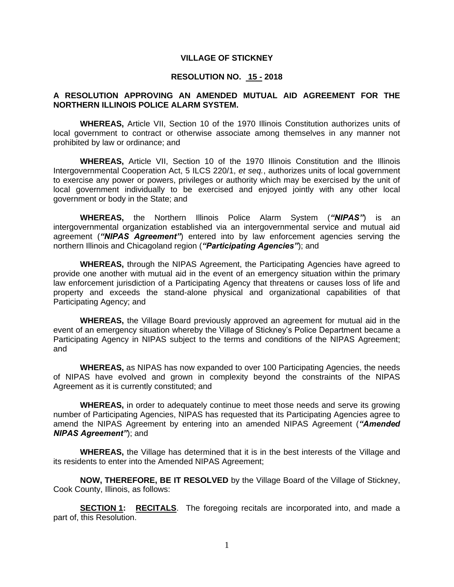### **VILLAGE OF STICKNEY**

### **RESOLUTION NO. 15 - 2018**

### **A RESOLUTION APPROVING AN AMENDED MUTUAL AID AGREEMENT FOR THE NORTHERN ILLINOIS POLICE ALARM SYSTEM.**

**WHEREAS,** Article VII, Section 10 of the 1970 Illinois Constitution authorizes units of local government to contract or otherwise associate among themselves in any manner not prohibited by law or ordinance; and

**WHEREAS,** Article VII, Section 10 of the 1970 Illinois Constitution and the Illinois Intergovernmental Cooperation Act, 5 ILCS 220/1, *et seq.*, authorizes units of local government to exercise any power or powers, privileges or authority which may be exercised by the unit of local government individually to be exercised and enjoyed jointly with any other local government or body in the State; and

**WHEREAS,** the Northern Illinois Police Alarm System (*"NIPAS"*) is an intergovernmental organization established via an intergovernmental service and mutual aid agreement (*"NIPAS Agreement"*) entered into by law enforcement agencies serving the northern Illinois and Chicagoland region (*"Participating Agencies"*); and

**WHEREAS,** through the NIPAS Agreement, the Participating Agencies have agreed to provide one another with mutual aid in the event of an emergency situation within the primary law enforcement jurisdiction of a Participating Agency that threatens or causes loss of life and property and exceeds the stand-alone physical and organizational capabilities of that Participating Agency; and

**WHEREAS,** the Village Board previously approved an agreement for mutual aid in the event of an emergency situation whereby the Village of Stickney's Police Department became a Participating Agency in NIPAS subject to the terms and conditions of the NIPAS Agreement; and

**WHEREAS,** as NIPAS has now expanded to over 100 Participating Agencies, the needs of NIPAS have evolved and grown in complexity beyond the constraints of the NIPAS Agreement as it is currently constituted; and

**WHEREAS,** in order to adequately continue to meet those needs and serve its growing number of Participating Agencies, NIPAS has requested that its Participating Agencies agree to amend the NIPAS Agreement by entering into an amended NIPAS Agreement (*"Amended NIPAS Agreement"*); and

**WHEREAS,** the Village has determined that it is in the best interests of the Village and its residents to enter into the Amended NIPAS Agreement;

**NOW, THEREFORE, BE IT RESOLVED** by the Village Board of the Village of Stickney, Cook County, Illinois, as follows:

**SECTION 1: RECITALS**. The foregoing recitals are incorporated into, and made a part of, this Resolution.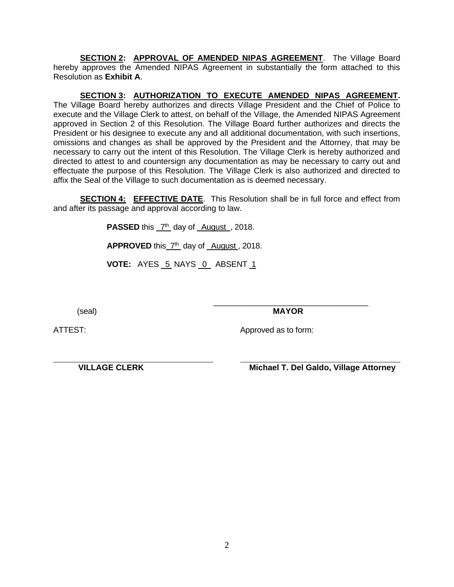**SECTION 2: APPROVAL OF AMENDED NIPAS AGREEMENT**. The Village Board hereby approves the Amended NIPAS Agreement in substantially the form attached to this Resolution as **Exhibit A**.

**SECTION 3: AUTHORIZATION TO EXECUTE AMENDED NIPAS AGREEMENT.**  The Village Board hereby authorizes and directs Village President and the Chief of Police to execute and the Village Clerk to attest, on behalf of the Village, the Amended NIPAS Agreement approved in Section 2 of this Resolution. The Village Board further authorizes and directs the President or his designee to execute any and all additional documentation, with such insertions, omissions and changes as shall be approved by the President and the Attorney, that may be necessary to carry out the intent of this Resolution. The Village Clerk is hereby authorized and directed to attest to and countersign any documentation as may be necessary to carry out and effectuate the purpose of this Resolution. The Village Clerk is also authorized and directed to affix the Seal of the Village to such documentation as is deemed necessary.

**SECTION 4: EFFECTIVE DATE**. This Resolution shall be in full force and effect from and after its passage and approval according to law.

**PASSED** this  $7<sup>th</sup>$  day of August, 2018.

APPROVED this  $7<sup>th</sup>$  day of August, 2018.

**VOTE:** AYES 5 NAYS 0 ABSENT 1

(seal) **MAYOR**

\_\_\_\_\_\_\_\_\_\_\_\_\_\_\_\_\_\_\_\_\_\_\_\_\_\_\_\_\_\_\_\_\_\_\_

ATTEST: And Approved as to form:

 **VILLAGE CLERK Michael T. Del Galdo, Village Attorney**